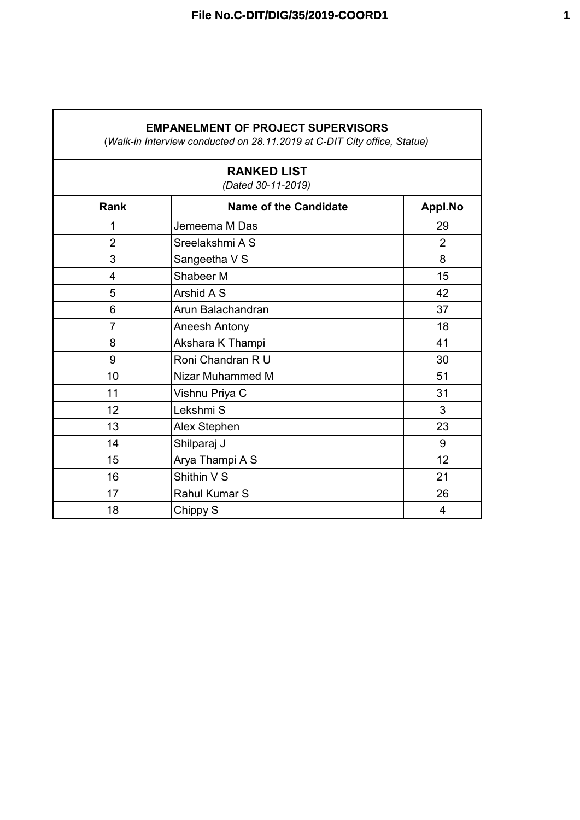## **EMPANELMENT OF PROJECT SUPERVISORS**

(*Walk-in Interview conducted on 28.11.2019 at C-DIT City office, Statue)*

| <b>RANKED LIST</b><br>(Dated 30-11-2019) |                              |                |  |
|------------------------------------------|------------------------------|----------------|--|
| <b>Rank</b>                              | <b>Name of the Candidate</b> | Appl.No        |  |
| 1                                        | Jemeema M Das                | 29             |  |
| $\overline{2}$                           | Sreelakshmi A S              | $\overline{2}$ |  |
| 3                                        | Sangeetha V S                | 8              |  |
| 4                                        | Shabeer M                    | 15             |  |
| 5                                        | Arshid A S                   | 42             |  |
| 6                                        | Arun Balachandran            | 37             |  |
| $\overline{7}$                           | Aneesh Antony                | 18             |  |
| 8                                        | Akshara K Thampi             | 41             |  |
| 9                                        | Roni Chandran R U            | 30             |  |
| 10                                       | Nizar Muhammed M             | 51             |  |
| 11                                       | Vishnu Priya C               | 31             |  |
| 12                                       | Lekshmi S                    | 3              |  |
| 13                                       | Alex Stephen                 | 23             |  |
| 14                                       | Shilparaj J                  | 9              |  |
| 15                                       | Arya Thampi A S              | 12             |  |
| 16                                       | Shithin V S                  | 21             |  |
| 17                                       | Rahul Kumar S                | 26             |  |
| 18                                       | Chippy S                     | 4              |  |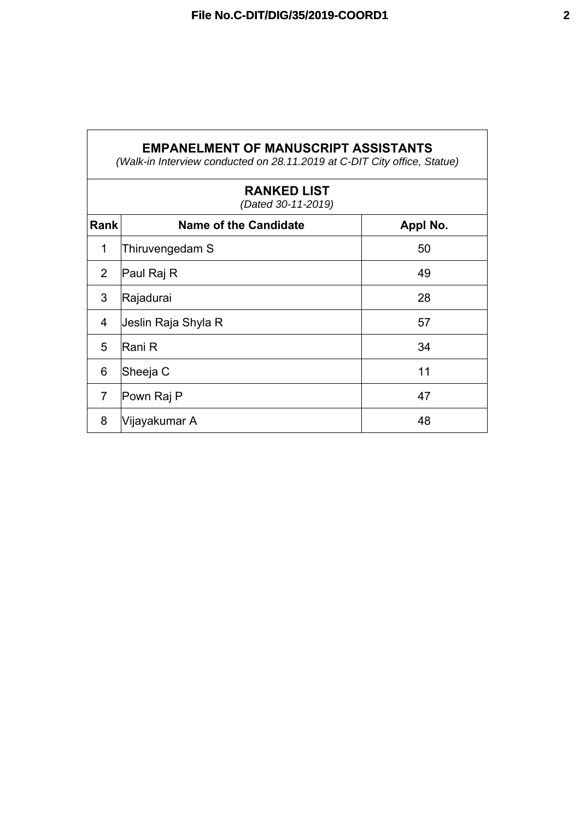| <b>EMPANELMENT OF MANUSCRIPT ASSISTANTS</b><br>(Walk-in Interview conducted on 28.11.2019 at C-DIT City office, Statue) |                              |          |  |  |
|-------------------------------------------------------------------------------------------------------------------------|------------------------------|----------|--|--|
| <b>RANKED LIST</b><br>(Dated 30-11-2019)                                                                                |                              |          |  |  |
| Rankl                                                                                                                   | <b>Name of the Candidate</b> | Appl No. |  |  |
| 1                                                                                                                       | Thiruvengedam S              | 50       |  |  |
| 2                                                                                                                       | Paul Raj R                   | 49       |  |  |
| 3                                                                                                                       | Rajadurai                    | 28       |  |  |

 $4$  Jeslin Raja Shyla R  $57$ 

5 Rani R 34

6 Sheeja C 11

7 Pown Raj P 47

8 Vijayakumar A 48